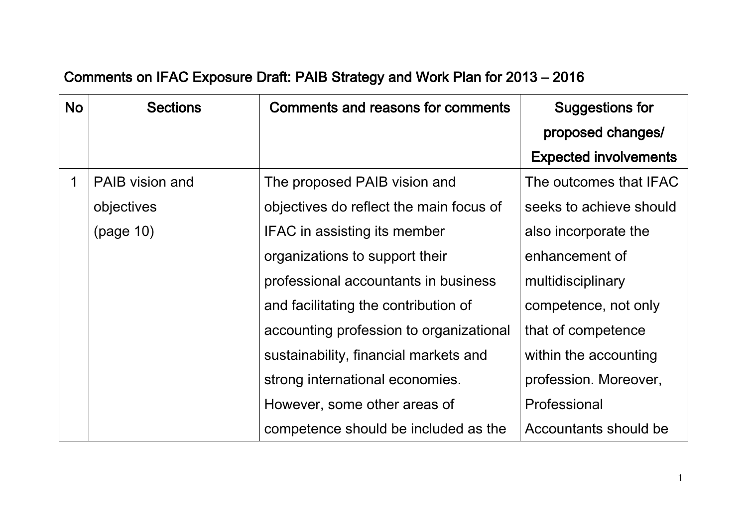## Comments on IFAC Exposure Draft: PAIB Strategy and Work Plan for 2013 – 2016

| <b>No</b> | <b>Sections</b>        | Comments and reasons for comments       | <b>Suggestions for</b>       |
|-----------|------------------------|-----------------------------------------|------------------------------|
|           |                        |                                         | proposed changes/            |
|           |                        |                                         | <b>Expected involvements</b> |
|           | <b>PAIB</b> vision and | The proposed PAIB vision and            | The outcomes that IFAC       |
|           | objectives             | objectives do reflect the main focus of | seeks to achieve should      |
|           | (page 10)              | IFAC in assisting its member            | also incorporate the         |
|           |                        | organizations to support their          | enhancement of               |
|           |                        | professional accountants in business    | multidisciplinary            |
|           |                        | and facilitating the contribution of    | competence, not only         |
|           |                        | accounting profession to organizational | that of competence           |
|           |                        | sustainability, financial markets and   | within the accounting        |
|           |                        | strong international economies.         | profession. Moreover,        |
|           |                        | However, some other areas of            | Professional                 |
|           |                        | competence should be included as the    | Accountants should be        |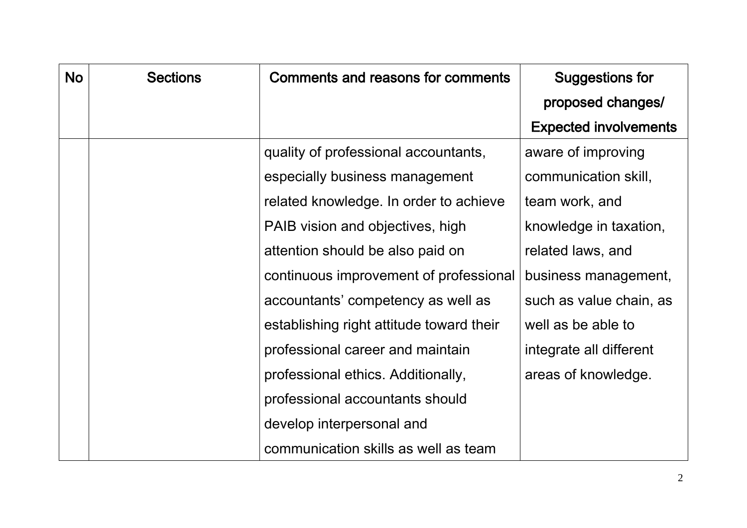| <b>No</b> | <b>Sections</b> | <b>Comments and reasons for comments</b> | Suggestions for              |
|-----------|-----------------|------------------------------------------|------------------------------|
|           |                 |                                          | proposed changes/            |
|           |                 |                                          | <b>Expected involvements</b> |
|           |                 | quality of professional accountants,     | aware of improving           |
|           |                 | especially business management           | communication skill,         |
|           |                 | related knowledge. In order to achieve   | team work, and               |
|           |                 | PAIB vision and objectives, high         | knowledge in taxation,       |
|           |                 | attention should be also paid on         | related laws, and            |
|           |                 | continuous improvement of professional   | business management,         |
|           |                 | accountants' competency as well as       | such as value chain, as      |
|           |                 | establishing right attitude toward their | well as be able to           |
|           |                 | professional career and maintain         | integrate all different      |
|           |                 | professional ethics. Additionally,       | areas of knowledge.          |
|           |                 | professional accountants should          |                              |
|           |                 | develop interpersonal and                |                              |
|           |                 | communication skills as well as team     |                              |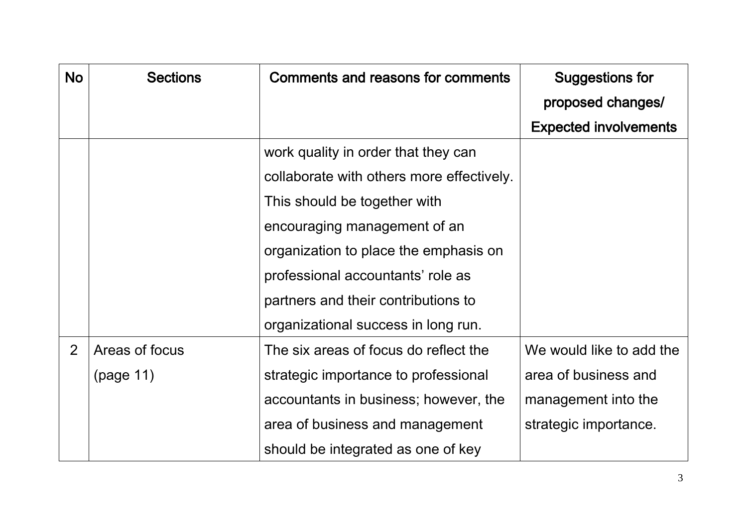| <b>No</b> | <b>Sections</b> | Comments and reasons for comments         | <b>Suggestions for</b>       |
|-----------|-----------------|-------------------------------------------|------------------------------|
|           |                 |                                           | proposed changes/            |
|           |                 |                                           | <b>Expected involvements</b> |
|           |                 | work quality in order that they can       |                              |
|           |                 | collaborate with others more effectively. |                              |
|           |                 | This should be together with              |                              |
|           |                 | encouraging management of an              |                              |
|           |                 | organization to place the emphasis on     |                              |
|           |                 | professional accountants' role as         |                              |
|           |                 | partners and their contributions to       |                              |
|           |                 | organizational success in long run.       |                              |
| 2         | Areas of focus  | The six areas of focus do reflect the     | We would like to add the     |
|           | (page 11)       | strategic importance to professional      | area of business and         |
|           |                 | accountants in business; however, the     | management into the          |
|           |                 | area of business and management           | strategic importance.        |
|           |                 | should be integrated as one of key        |                              |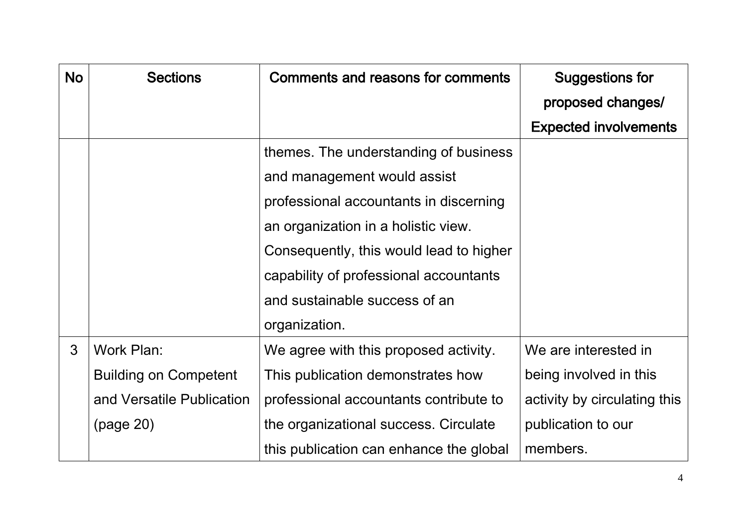| <b>No</b> | <b>Sections</b>              | Comments and reasons for comments       | <b>Suggestions for</b>       |
|-----------|------------------------------|-----------------------------------------|------------------------------|
|           |                              |                                         | proposed changes/            |
|           |                              |                                         | <b>Expected involvements</b> |
|           |                              | themes. The understanding of business   |                              |
|           |                              | and management would assist             |                              |
|           |                              | professional accountants in discerning  |                              |
|           |                              | an organization in a holistic view.     |                              |
|           |                              | Consequently, this would lead to higher |                              |
|           |                              | capability of professional accountants  |                              |
|           |                              | and sustainable success of an           |                              |
|           |                              | organization.                           |                              |
| 3         | Work Plan:                   | We agree with this proposed activity.   | We are interested in         |
|           | <b>Building on Competent</b> | This publication demonstrates how       | being involved in this       |
|           | and Versatile Publication    | professional accountants contribute to  | activity by circulating this |
|           | (page 20)                    | the organizational success. Circulate   | publication to our           |
|           |                              | this publication can enhance the global | members.                     |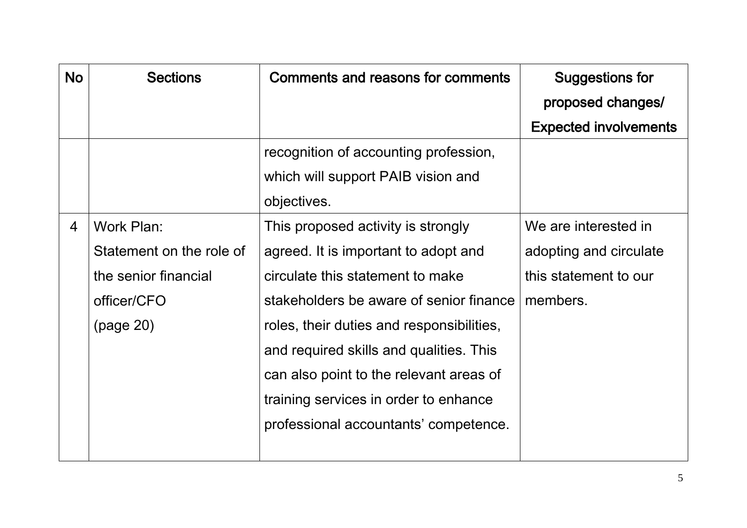| <b>No</b> | <b>Sections</b>          | Comments and reasons for comments         | <b>Suggestions for</b>       |
|-----------|--------------------------|-------------------------------------------|------------------------------|
|           |                          |                                           | proposed changes/            |
|           |                          |                                           | <b>Expected involvements</b> |
|           |                          | recognition of accounting profession,     |                              |
|           |                          | which will support PAIB vision and        |                              |
|           |                          | objectives.                               |                              |
| 4         | Work Plan:               | This proposed activity is strongly        | We are interested in         |
|           | Statement on the role of | agreed. It is important to adopt and      | adopting and circulate       |
|           | the senior financial     | circulate this statement to make          | this statement to our        |
|           | officer/CFO              | stakeholders be aware of senior finance   | members.                     |
|           | (page 20)                | roles, their duties and responsibilities, |                              |
|           |                          | and required skills and qualities. This   |                              |
|           |                          | can also point to the relevant areas of   |                              |
|           |                          | training services in order to enhance     |                              |
|           |                          | professional accountants' competence.     |                              |
|           |                          |                                           |                              |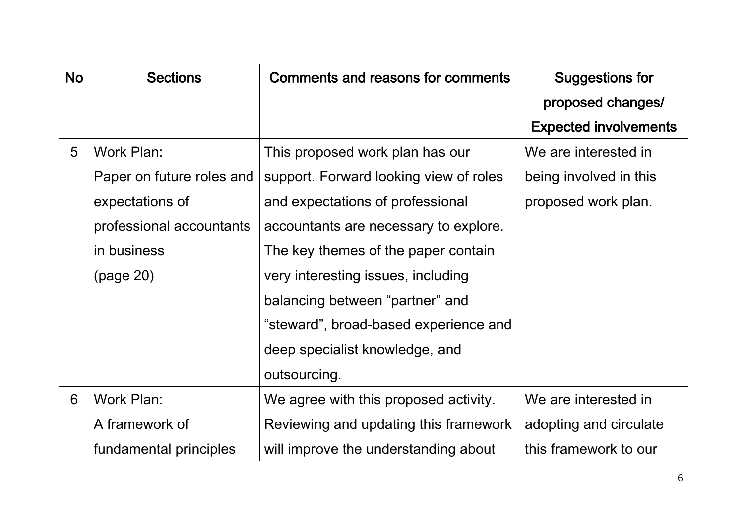| <b>No</b> | <b>Sections</b>           | Comments and reasons for comments      | <b>Suggestions for</b>       |
|-----------|---------------------------|----------------------------------------|------------------------------|
|           |                           |                                        | proposed changes/            |
|           |                           |                                        | <b>Expected involvements</b> |
| 5         | Work Plan:                | This proposed work plan has our        | We are interested in         |
|           | Paper on future roles and | support. Forward looking view of roles | being involved in this       |
|           | expectations of           | and expectations of professional       | proposed work plan.          |
|           | professional accountants  | accountants are necessary to explore.  |                              |
|           | in business               | The key themes of the paper contain    |                              |
|           | (page 20)                 | very interesting issues, including     |                              |
|           |                           | balancing between "partner" and        |                              |
|           |                           | "steward", broad-based experience and  |                              |
|           |                           | deep specialist knowledge, and         |                              |
|           |                           | outsourcing.                           |                              |
| 6         | Work Plan:                | We agree with this proposed activity.  | We are interested in         |
|           | A framework of            | Reviewing and updating this framework  | adopting and circulate       |
|           | fundamental principles    | will improve the understanding about   | this framework to our        |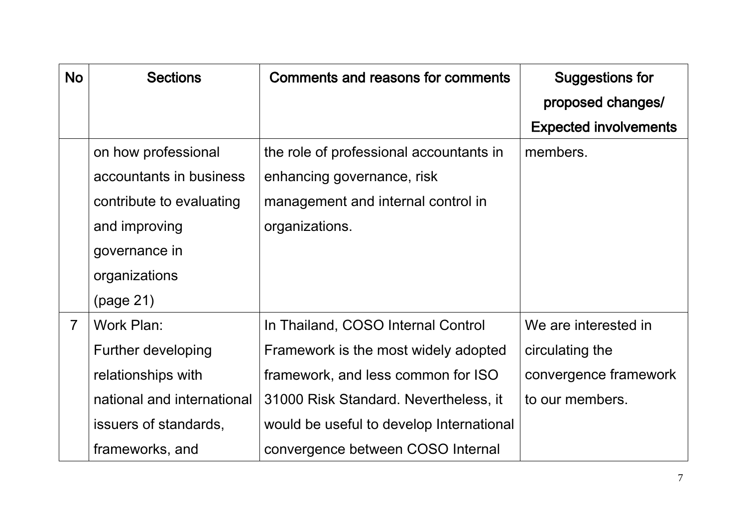| <b>No</b>      | <b>Sections</b>            | Comments and reasons for comments        | <b>Suggestions for</b>       |
|----------------|----------------------------|------------------------------------------|------------------------------|
|                |                            |                                          | proposed changes/            |
|                |                            |                                          | <b>Expected involvements</b> |
|                | on how professional        | the role of professional accountants in  | members.                     |
|                | accountants in business    | enhancing governance, risk               |                              |
|                | contribute to evaluating   | management and internal control in       |                              |
|                | and improving              | organizations.                           |                              |
|                | governance in              |                                          |                              |
|                | organizations              |                                          |                              |
|                | (page 21)                  |                                          |                              |
| $\overline{7}$ | Work Plan:                 | In Thailand, COSO Internal Control       | We are interested in         |
|                | Further developing         | Framework is the most widely adopted     | circulating the              |
|                | relationships with         | framework, and less common for ISO       | convergence framework        |
|                | national and international | 31000 Risk Standard. Nevertheless, it    | to our members.              |
|                | issuers of standards,      | would be useful to develop International |                              |
|                | frameworks, and            | convergence between COSO Internal        |                              |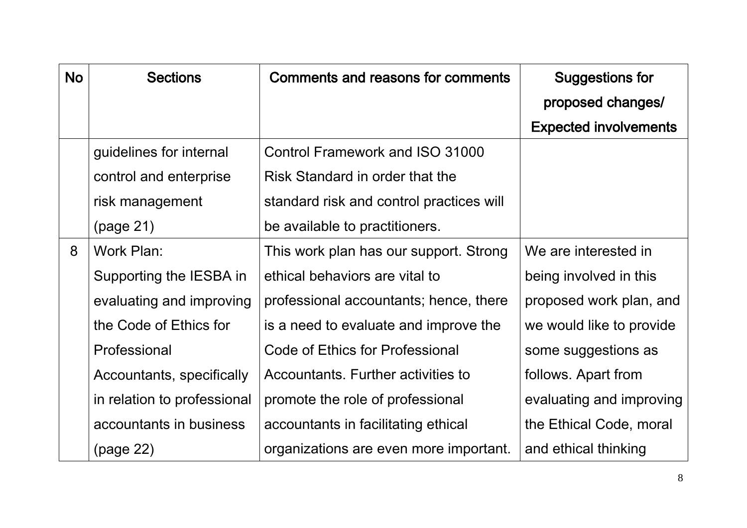| <b>No</b> | <b>Sections</b>             | Comments and reasons for comments        | <b>Suggestions for</b>       |
|-----------|-----------------------------|------------------------------------------|------------------------------|
|           |                             |                                          | proposed changes/            |
|           |                             |                                          | <b>Expected involvements</b> |
|           | guidelines for internal     | Control Framework and ISO 31000          |                              |
|           | control and enterprise      | Risk Standard in order that the          |                              |
|           | risk management             | standard risk and control practices will |                              |
|           | (page 21)                   | be available to practitioners.           |                              |
| 8         | Work Plan:                  | This work plan has our support. Strong   | We are interested in         |
|           | Supporting the IESBA in     | ethical behaviors are vital to           | being involved in this       |
|           | evaluating and improving    | professional accountants; hence, there   | proposed work plan, and      |
|           | the Code of Ethics for      | is a need to evaluate and improve the    | we would like to provide     |
|           | Professional                | Code of Ethics for Professional          | some suggestions as          |
|           | Accountants, specifically   | Accountants. Further activities to       | follows. Apart from          |
|           | in relation to professional | promote the role of professional         | evaluating and improving     |
|           | accountants in business     | accountants in facilitating ethical      | the Ethical Code, moral      |
|           | (page 22)                   | organizations are even more important.   | and ethical thinking         |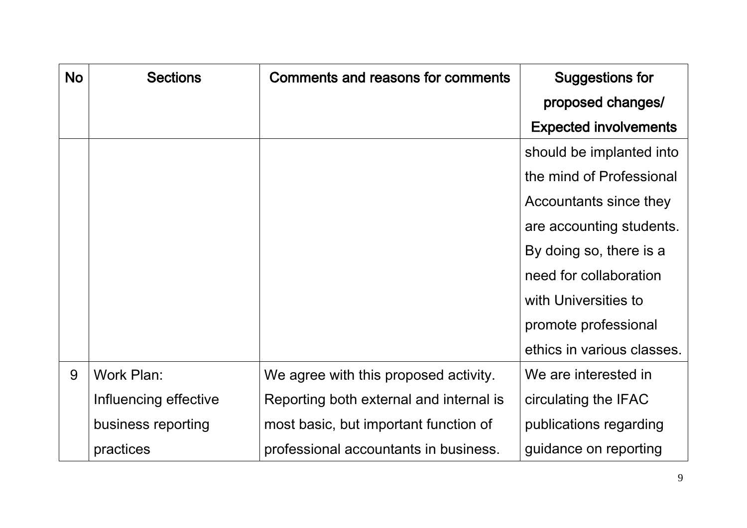| <b>No</b> | <b>Sections</b>       | Comments and reasons for comments       | <b>Suggestions for</b>       |
|-----------|-----------------------|-----------------------------------------|------------------------------|
|           |                       |                                         | proposed changes/            |
|           |                       |                                         | <b>Expected involvements</b> |
|           |                       |                                         | should be implanted into     |
|           |                       |                                         | the mind of Professional     |
|           |                       |                                         | Accountants since they       |
|           |                       |                                         | are accounting students.     |
|           |                       |                                         | By doing so, there is a      |
|           |                       |                                         | need for collaboration       |
|           |                       |                                         | with Universities to         |
|           |                       |                                         | promote professional         |
|           |                       |                                         | ethics in various classes.   |
| 9         | Work Plan:            | We agree with this proposed activity.   | We are interested in         |
|           | Influencing effective | Reporting both external and internal is | circulating the IFAC         |
|           | business reporting    | most basic, but important function of   | publications regarding       |
|           | practices             | professional accountants in business.   | guidance on reporting        |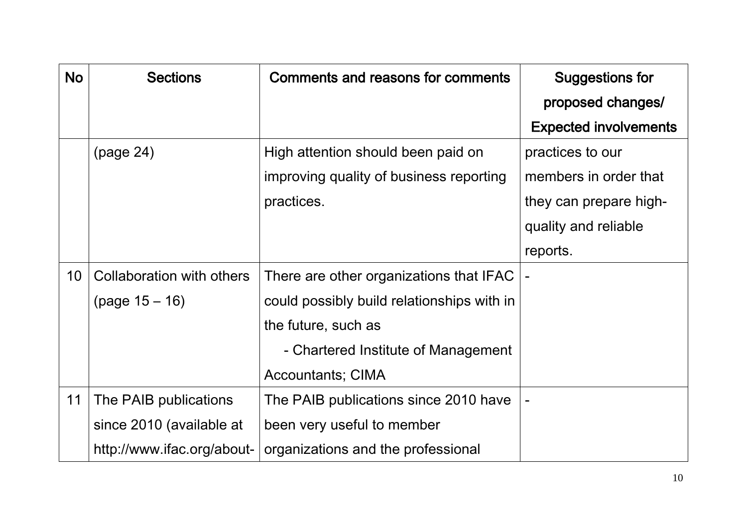| <b>No</b> | <b>Sections</b>                  | Comments and reasons for comments          | <b>Suggestions for</b>       |
|-----------|----------------------------------|--------------------------------------------|------------------------------|
|           |                                  |                                            | proposed changes/            |
|           |                                  |                                            | <b>Expected involvements</b> |
|           | (page 24)                        | High attention should been paid on         | practices to our             |
|           |                                  | improving quality of business reporting    | members in order that        |
|           |                                  | practices.                                 | they can prepare high-       |
|           |                                  |                                            | quality and reliable         |
|           |                                  |                                            | reports.                     |
| 10        | <b>Collaboration with others</b> | There are other organizations that IFAC    |                              |
|           | $(page 15 - 16)$                 | could possibly build relationships with in |                              |
|           |                                  | the future, such as                        |                              |
|           |                                  | - Chartered Institute of Management        |                              |
|           |                                  | <b>Accountants; CIMA</b>                   |                              |
| 11        | The PAIB publications            | The PAIB publications since 2010 have      |                              |
|           | since 2010 (available at         | been very useful to member                 |                              |
|           | http://www.ifac.org/about-       | organizations and the professional         |                              |